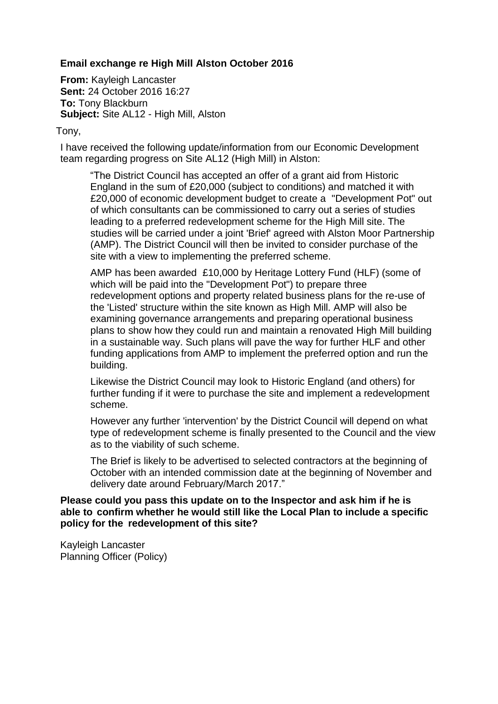## **Email exchange re High Mill Alston October 2016**

**From:** Kayleigh Lancaster **Sent:** 24 October 2016 16:27 **To:** Tony Blackburn **Subject:** Site AL12 - High Mill, Alston

Tony,

I have received the following update/information from our Economic Development team regarding progress on Site AL12 (High Mill) in Alston:

"The District Council has accepted an offer of a grant aid from Historic England in the sum of £20,000 (subject to conditions) and matched it with £20,000 of economic development budget to create a "Development Pot" out of which consultants can be commissioned to carry out a series of studies leading to a preferred redevelopment scheme for the High Mill site. The studies will be carried under a joint 'Brief' agreed with Alston Moor Partnership (AMP). The District Council will then be invited to consider purchase of the site with a view to implementing the preferred scheme.

AMP has been awarded £10,000 by Heritage Lottery Fund (HLF) (some of which will be paid into the "Development Pot") to prepare three redevelopment options and property related business plans for the re-use of the 'Listed' structure within the site known as High Mill. AMP will also be examining governance arrangements and preparing operational business plans to show how they could run and maintain a renovated High Mill building in a sustainable way. Such plans will pave the way for further HLF and other funding applications from AMP to implement the preferred option and run the building.

Likewise the District Council may look to Historic England (and others) for further funding if it were to purchase the site and implement a redevelopment scheme.

However any further 'intervention' by the District Council will depend on what type of redevelopment scheme is finally presented to the Council and the view as to the viability of such scheme.

The Brief is likely to be advertised to selected contractors at the beginning of October with an intended commission date at the beginning of November and delivery date around February/March 2017."

## **Please could you pass this update on to the Inspector and ask him if he is able to confirm whether he would still like the Local Plan to include a specific policy for the redevelopment of this site?**

Kayleigh Lancaster Planning Officer (Policy)